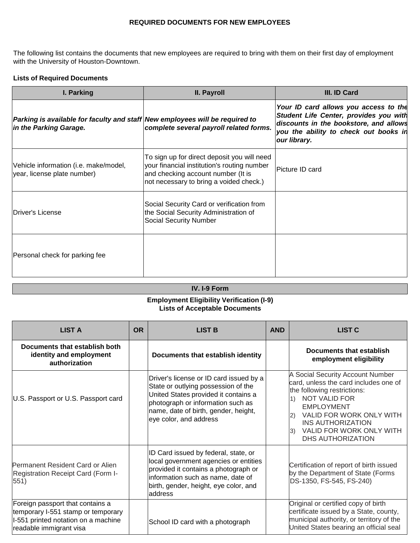## **REQUIRED DOCUMENTS FOR NEW EMPLOYEES**

The following list contains the documents that new employees are required to bring with them on their first day of employment with the University of Houston-Downtown.

## **Lists of Required Documents**

| I. Parking                                                                                             | II. Payroll                                                                                                                                                                 | III. ID Card                                                                                                                                                                       |
|--------------------------------------------------------------------------------------------------------|-----------------------------------------------------------------------------------------------------------------------------------------------------------------------------|------------------------------------------------------------------------------------------------------------------------------------------------------------------------------------|
| Parking is available for faculty and staff New employees will be required to<br>in the Parking Garage. | complete several payroll related forms.                                                                                                                                     | Your ID card allows you access to the<br>Student Life Center, provides you with<br>discounts in the bookstore, and allows<br>you the ability to check out books in<br>our library. |
| Vehicle information (i.e. make/model,<br>year, license plate number)                                   | To sign up for direct deposit you will need<br>your financial institution's routing number<br>and checking account number (It is<br>not necessary to bring a voided check.) | <b>Picture ID card</b>                                                                                                                                                             |
| lDriver's License                                                                                      | Social Security Card or verification from<br>the Social Security Administration of<br><b>Social Security Number</b>                                                         |                                                                                                                                                                                    |
| Personal check for parking fee                                                                         |                                                                                                                                                                             |                                                                                                                                                                                    |

## **IV. I-9 Form**

## **Employment Eligibility Verification (I-9) Lists of Acceptable Documents**

| <b>LIST A</b>                                                                                                                            | <b>OR</b> | <b>LIST B</b>                                                                                                                                                                                                                 | <b>AND</b> | <b>LIST C</b>                                                                                                                                                                                                                                                                    |
|------------------------------------------------------------------------------------------------------------------------------------------|-----------|-------------------------------------------------------------------------------------------------------------------------------------------------------------------------------------------------------------------------------|------------|----------------------------------------------------------------------------------------------------------------------------------------------------------------------------------------------------------------------------------------------------------------------------------|
| Documents that establish both<br>identity and employment<br>authorization                                                                |           | Documents that establish identity                                                                                                                                                                                             |            | Documents that establish<br>employment eligibility                                                                                                                                                                                                                               |
| U.S. Passport or U.S. Passport card                                                                                                      |           | Driver's license or ID card issued by a<br>State or outlying possession of the<br>United States provided it contains a<br>photograph or information such as<br>name, date of birth, gender, height,<br>eye color, and address |            | A Social Security Account Number<br>card, unless the card includes one of<br>the following restrictions:<br><b>NOT VALID FOR</b><br>1)<br><b>EMPLOYMENT</b><br>VALID FOR WORK ONLY WITH<br>2)<br><b>INS AUTHORIZATION</b><br>VALID FOR WORK ONLY WITH<br>3)<br>DHS AUTHORIZATION |
| Permanent Resident Card or Alien<br>Registration Receipt Card (Form I-<br>551)                                                           |           | ID Card issued by federal, state, or<br>local government agencies or entities<br>provided it contains a photograph or<br>information such as name, date of<br>birth, gender, height, eye color, and<br>address                |            | Certification of report of birth issued<br>by the Department of State (Forms<br>DS-1350, FS-545, FS-240)                                                                                                                                                                         |
| Foreign passport that contains a<br>temporary I-551 stamp or temporary<br>I-551 printed notation on a machine<br>readable immigrant visa |           | School ID card with a photograph                                                                                                                                                                                              |            | Original or certified copy of birth<br>certificate issued by a State, county,<br>municipal authority, or territory of the<br>United States bearing an official seal                                                                                                              |